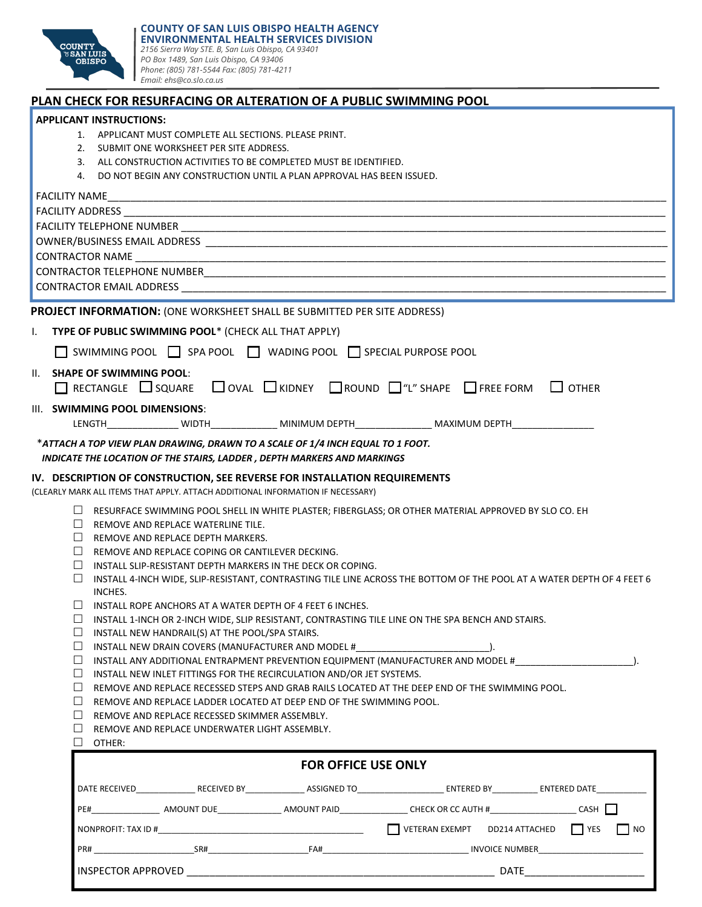

## **PLAN CHECK FOR RESURFACING OR ALTERATION OF A PUBLIC SWIMMING POOL**

|  | <b>APPLICANT INSTRUCTIONS:</b> |  |
|--|--------------------------------|--|
|--|--------------------------------|--|

- 1. APPLICANT MUST COMPLETE ALL SECTIONS. PLEASE PRINT.
- 2. SUBMIT ONE WORKSHEET PER SITE ADDRESS.
- 3. ALL CONSTRUCTION ACTIVITIES TO BE COMPLETED MUST BE IDENTIFIED.
- 4. DO NOT BEGIN ANY CONSTRUCTION UNTIL A PLAN APPROVAL HAS BEEN ISSUED.

| PROJECT INFORMATION: (ONE WORKSHEET SHALL BE SUBMITTED PER SITE ADDRESS)                                                                                                           |           |  |  |
|------------------------------------------------------------------------------------------------------------------------------------------------------------------------------------|-----------|--|--|
| TYPE OF PUBLIC SWIMMING POOL* (CHECK ALL THAT APPLY)<br>L.                                                                                                                         |           |  |  |
| SWIMMING POOL SPA POOL WADING POOL SPECIAL PURPOSE POOL                                                                                                                            |           |  |  |
| II. SHAPE OF SWIMMING POOL:<br>□ RECTANGLE SQUARE OVAL KIDNEY OROUND O"L" SHAPE OFREE FORM OTHER                                                                                   |           |  |  |
| III. SWIMMING POOL DIMENSIONS:                                                                                                                                                     |           |  |  |
| LENGTH_________________ WIDTH________________ MINIMUM DEPTH_________________ MAXIMUM DEPTH___________________                                                                      |           |  |  |
| *ATTACH A TOP VIEW PLAN DRAWING, DRAWN TO A SCALE OF 1/4 INCH EQUAL TO 1 FOOT.<br>INDICATE THE LOCATION OF THE STAIRS, LADDER, DEPTH MARKERS AND MARKINGS                          |           |  |  |
| IV. DESCRIPTION OF CONSTRUCTION, SEE REVERSE FOR INSTALLATION REQUIREMENTS                                                                                                         |           |  |  |
| (CLEARLY MARK ALL ITEMS THAT APPLY. ATTACH ADDITIONAL INFORMATION IF NECESSARY)                                                                                                    |           |  |  |
| □ RESURFACE SWIMMING POOL SHELL IN WHITE PLASTER; FIBERGLASS; OR OTHER MATERIAL APPROVED BY SLO CO. EH                                                                             |           |  |  |
| $\Box$ REMOVE AND REPLACE WATERLINE TILE.                                                                                                                                          |           |  |  |
| $\Box$ REMOVE AND REPLACE DEPTH MARKERS.                                                                                                                                           |           |  |  |
| $\Box$ REMOVE AND REPLACE COPING OR CANTILEVER DECKING.                                                                                                                            |           |  |  |
| $\Box$ INSTALL SLIP-RESISTANT DEPTH MARKERS IN THE DECK OR COPING.                                                                                                                 |           |  |  |
| $\Box$ INSTALL 4-INCH WIDE, SLIP-RESISTANT, CONTRASTING TILE LINE ACROSS THE BOTTOM OF THE POOL AT A WATER DEPTH OF 4 FEET 6<br>INCHES.                                            |           |  |  |
| $\Box$ INSTALL ROPE ANCHORS AT A WATER DEPTH OF 4 FEET 6 INCHES.                                                                                                                   |           |  |  |
| $\Box$ INSTALL 1-INCH OR 2-INCH WIDE, SLIP RESISTANT, CONTRASTING TILE LINE ON THE SPA BENCH AND STAIRS.                                                                           |           |  |  |
| $\Box$ INSTALL NEW HANDRAIL(S) AT THE POOL/SPA STAIRS.                                                                                                                             |           |  |  |
| $\Box$ INSTALL NEW DRAIN COVERS (MANUFACTURER AND MODEL #                                                                                                                          |           |  |  |
| □ INSTALL ANY ADDITIONAL ENTRAPMENT PREVENTION EQUIPMENT (MANUFACTURER AND MODEL #__________________________________                                                               |           |  |  |
| $\Box$ INSTALL NEW INLET FITTINGS FOR THE RECIRCULATION AND/OR JET SYSTEMS.<br>⊔<br>REMOVE AND REPLACE RECESSED STEPS AND GRAB RAILS LOCATED AT THE DEEP END OF THE SWIMMING POOL. |           |  |  |
| $\Box$<br>REMOVE AND REPLACE LADDER LOCATED AT DEEP END OF THE SWIMMING POOL.                                                                                                      |           |  |  |
| $\perp$<br>REMOVE AND REPLACE RECESSED SKIMMER ASSEMBLY.                                                                                                                           |           |  |  |
| $\perp$<br>REMOVE AND REPLACE UNDERWATER LIGHT ASSEMBLY.                                                                                                                           |           |  |  |
| $\Box$ OTHER:                                                                                                                                                                      |           |  |  |
| <b>FOR OFFICE USE ONLY</b>                                                                                                                                                         |           |  |  |
|                                                                                                                                                                                    |           |  |  |
|                                                                                                                                                                                    |           |  |  |
| VETERAN EXEMPT DD214 ATTACHED<br><b>I</b> YES                                                                                                                                      | $\Box$ NO |  |  |
|                                                                                                                                                                                    |           |  |  |
| <b>INSPECTOR APPROVED</b><br><b>DATE</b>                                                                                                                                           |           |  |  |